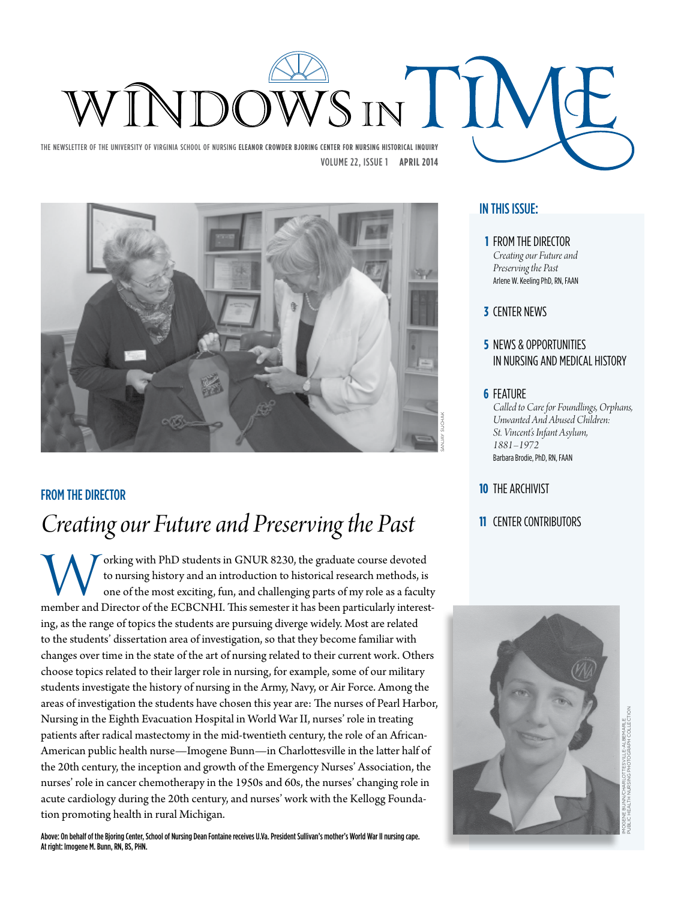

SANJAY SUCHAK

## FROM THE DIRECTOR

# *Creating our Future and Preserving the Past*

orking with PhD students in GNUR 8230, the graduate course devoted<br>to nursing history and an introduction to historical research methods, is<br>one of the most exciting, fun, and challenging parts of my role as a faculty<br>memb to nursing history and an introduction to historical research methods, is one of the most exciting, fun, and challenging parts of my role as a faculty ing, as the range of topics the students are pursuing diverge widely. Most are related to the students' dissertation area of investigation, so that they become familiar with changes over time in the state of the art of nursing related to their current work. Others choose topics related to their larger role in nursing, for example, some of our military students investigate the history of nursing in the Army, Navy, or Air Force. Among the areas of investigation the students have chosen this year are: The nurses of Pearl Harbor, Nursing in the Eighth Evacuation Hospital in World War II, nurses' role in treating patients after radical mastectomy in the mid-twentieth century, the role of an African-American public health nurse—Imogene Bunn—in Charlottesville in the latter half of the 20th century, the inception and growth of the Emergency Nurses' Association, the nurses' role in cancer chemotherapy in the 1950s and 60s, the nurses' changing role in acute cardiology during the 20th century, and nurses' work with the Kellogg Foundation promoting health in rural Michigan.

Above: On behalf of the Bjoring Center, School of Nursing Dean Fontaine receives U.Va. President Sullivan's mother's World War II nursing cape. At right: Imogene M. Bunn, RN, BS, PHN.

## IN THIS ISSUE:

- **1 FROM THE DIRECTOR** *Creating our Future and Preserving the Past* Arlene W. Keeling PhD, RN, FAAN
- **3** CENTER NEWS
- **5** NEWS & OPPORTUNITIES IN NURSING AND MEDICAL HISTORY
- **6** FEATURE

*Called to Care for Foundlings, Orphans, Unwanted And Abused Children: St. Vincent's Infant Asylum, 1881–1972* Barbara Brodie, PhD, RN, FAAN

- **10 THE ARCHIVIST**
- **11 CENTER CONTRIBUTORS**

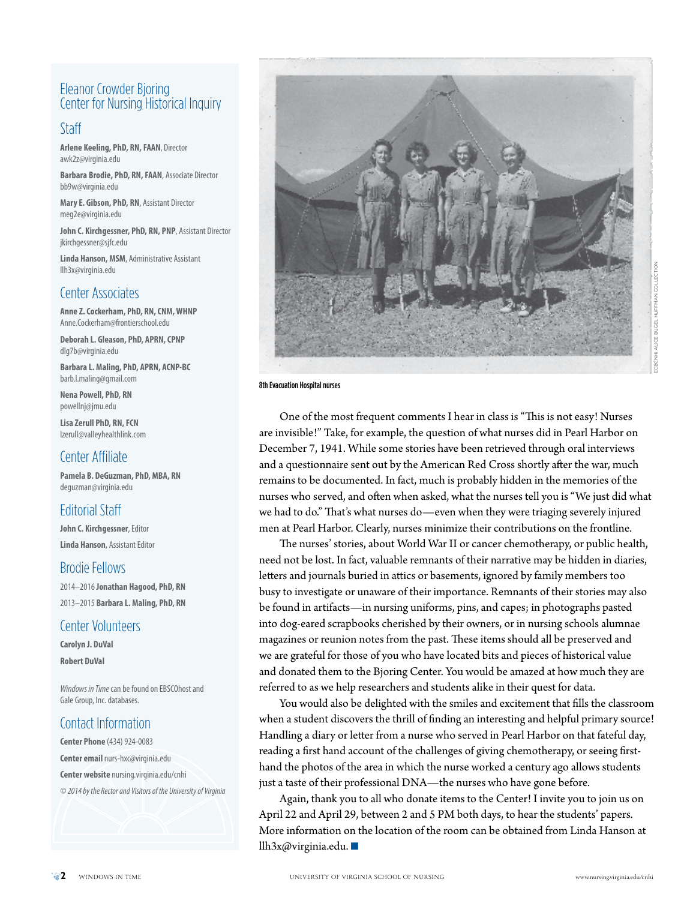## Eleanor Crowder Bjoring Center for Nursing Historical Inquiry

## Staff

**Arlene Keeling, PhD, RN, FAAN**, Director [awk2z@virginia.edu](mailto:awk2z@virginia.edu)

**Barbara Brodie, PhD, RN, FAAN**, Associate Director [bb9w@virginia.edu](mailto:bb9w@virginia.edu)

**Mary E. Gibson, PhD, RN**, Assistant Director [meg2e@virginia.edu](mailto:meg2e@virginia.edu)

**John C. Kirchgessner, PhD, RN, PNP**, Assistant Director [jkirchgessner@sjfc.edu](mailto:jkirchgessner@sjfc.edu)

**Linda Hanson, MSM**, Administrative Assistant [llh3x@virginia.edu](mailto:llh3x@virginia.edu)

## Center Associates

**Anne Z. Cockerham, PhD, RN, CNM, WHNP** [Anne.Cockerham@frontierschool.edu](mailto:Anne.Cockerham@frontierschool.edu)

**Deborah L. Gleason, PhD, APRN, CPNP** [dlg7b@virginia.edu](mailto:dlg7b@virginia.edu)

**Barbara L. Maling, PhD, APRN, ACNP-BC** [barb.l.maling@gmail.com](mailto:barb.l.maling@gmail.com)

**Nena Powell, PhD, RN** [powellnj@jmu.edu](mailto:powellnj@jmu.edu)

**Lisa Zerull PhD, RN, FCN** [lzerull@valleyhealthlink.com](mailto:lzerull@valleyhealthlink.com)

## Center Affiliate

**Pamela B. DeGuzman, PhD, MBA, RN** [deguzman@virginia.edu](mailto:deguzman@virginia.edu)

## Editorial Staff

**John C. Kirchgessner**, Editor **Linda Hanson**, Assistant Editor

## Brodie Fellows

2014–2016 **Jonathan Hagood, PhD, RN** 2013–2015 **Barbara L. Maling, PhD, RN**

## Center Volunteers

**Carolyn J. DuVal Robert DuVal**

*Windows in Time* can be found on EBSCOhost and Gale Group, Inc. databases.

## Contact Information

**Center Phone** (434) 924-0083 **Center email** [nurs-hxc@virginia.edu](mailto:nurs-hxc%40virginia.edu?subject=) **Center website** [nursing.virginia.edu/cnhi](http://www.nurs-hxc.virginia.edu) *© 2014 by the Rector and Visitors of the University of Virginia*



ALICE BUGEL HUFFMAN COLLECTION ECBCNHI ALICE BUGEL HUFFMAN COLLECTION

8th Evacuation Hospital nurses

One of the most frequent comments I hear in class is "This is not easy! Nurses are invisible!" Take, for example, the question of what nurses did in Pearl Harbor on December 7, 1941. While some stories have been retrieved through oral interviews and a questionnaire sent out by the American Red Cross shortly after the war, much remains to be documented. In fact, much is probably hidden in the memories of the nurses who served, and often when asked, what the nurses tell you is "We just did what we had to do." That's what nurses do—even when they were triaging severely injured men at Pearl Harbor. Clearly, nurses minimize their contributions on the frontline.

The nurses' stories, about World War II or cancer chemotherapy, or public health, need not be lost. In fact, valuable remnants of their narrative may be hidden in diaries, letters and journals buried in attics or basements, ignored by family members too busy to investigate or unaware of their importance. Remnants of their stories may also be found in artifacts—in nursing uniforms, pins, and capes; in photographs pasted into dog-eared scrapbooks cherished by their owners, or in nursing schools alumnae magazines or reunion notes from the past. These items should all be preserved and we are grateful for those of you who have located bits and pieces of historical value and donated them to the Bjoring Center. You would be amazed at how much they are referred to as we help researchers and students alike in their quest for data.

You would also be delighted with the smiles and excitement that fills the classroom when a student discovers the thrill of finding an interesting and helpful primary source! Handling a diary or letter from a nurse who served in Pearl Harbor on that fateful day, reading a first hand account of the challenges of giving chemotherapy, or seeing firsthand the photos of the area in which the nurse worked a century ago allows students just a taste of their professional DNA—the nurses who have gone before.

Again, thank you to all who donate items to the Center! I invite you to join us on April 22 and April 29, between 2 and 5 PM both days, to hear the students' papers. More information on the location of the room can be obtained from Linda Hanson at [llh3x@virginia.edu](mailto:llh3x@virginia.edu).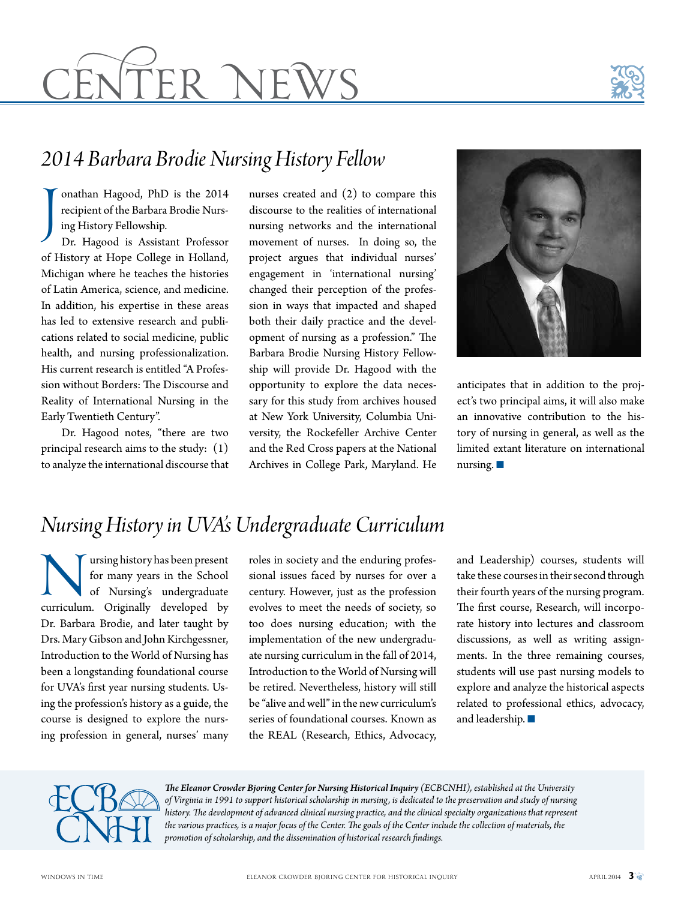# <u>CENTER NEWS</u>



# *2014 Barbara Brodie Nursing History Fellow*

J onathan Hagood, PhD is the 2014 recipient of the Barbara Brodie Nursing History Fellowship. Dr. Hagood is Assistant Professor of History at Hope College in Holland, Michigan where he teaches the histories of Latin America, science, and medicine. In addition, his expertise in these areas has led to extensive research and publications related to social medicine, public health, and nursing professionalization. His current research is entitled "A Profession without Borders: The Discourse and Reality of International Nursing in the Early Twentieth Century".

Dr. Hagood notes, "there are two principal research aims to the study: (1) to analyze the international discourse that

nurses created and (2) to compare this discourse to the realities of international nursing networks and the international movement of nurses. In doing so, the project argues that individual nurses' engagement in 'international nursing' changed their perception of the profession in ways that impacted and shaped both their daily practice and the development of nursing as a profession." The Barbara Brodie Nursing History Fellowship will provide Dr. Hagood with the opportunity to explore the data necessary for this study from archives housed at New York University, Columbia University, the Rockefeller Archive Center and the Red Cross papers at the National Archives in College Park, Maryland. He



anticipates that in addition to the project's two principal aims, it will also make an innovative contribution to the history of nursing in general, as well as the limited extant literature on international nursing.  $\blacksquare$ 

# *Nursing History in UVA's Undergraduate Curriculum*

**Nursing history has been present**<br>for many years in the School<br>of Nursing's undergraduate<br>curriculum. Originally developed by for many years in the School of Nursing's undergraduate Dr. Barbara Brodie, and later taught by Drs. Mary Gibson and John Kirchgessner, Introduction to the World of Nursing has been a longstanding foundational course for UVA's first year nursing students. Using the profession's history as a guide, the course is designed to explore the nursing profession in general, nurses' many

roles in society and the enduring professional issues faced by nurses for over a century. However, just as the profession evolves to meet the needs of society, so too does nursing education; with the implementation of the new undergraduate nursing curriculum in the fall of 2014, Introduction to the World of Nursing will be retired. Nevertheless, history will still be "alive and well" in the new curriculum's series of foundational courses. Known as the REAL (Research, Ethics, Advocacy, and Leadership) courses, students will take these courses in their second through their fourth years of the nursing program. The first course, Research, will incorporate history into lectures and classroom discussions, as well as writing assignments. In the three remaining courses, students will use past nursing models to explore and analyze the historical aspects related to professional ethics, advocacy, and leadership.  $\blacksquare$ 



*The Eleanor Crowder Bjoring Center for Nursing Historical Inquiry (ECBCNHI), established at the University of Virginia in 1991 to support historical scholarship in nursing, is dedicated to the preservation and study of nursing history. The development of advanced clinical nursing practice, and the clinical specialty organizations that represent the various practices, is a major focus of the Center. The goals of the Center include the collection of materials, the promotion of scholarship, and the dissemination of historical research findings.*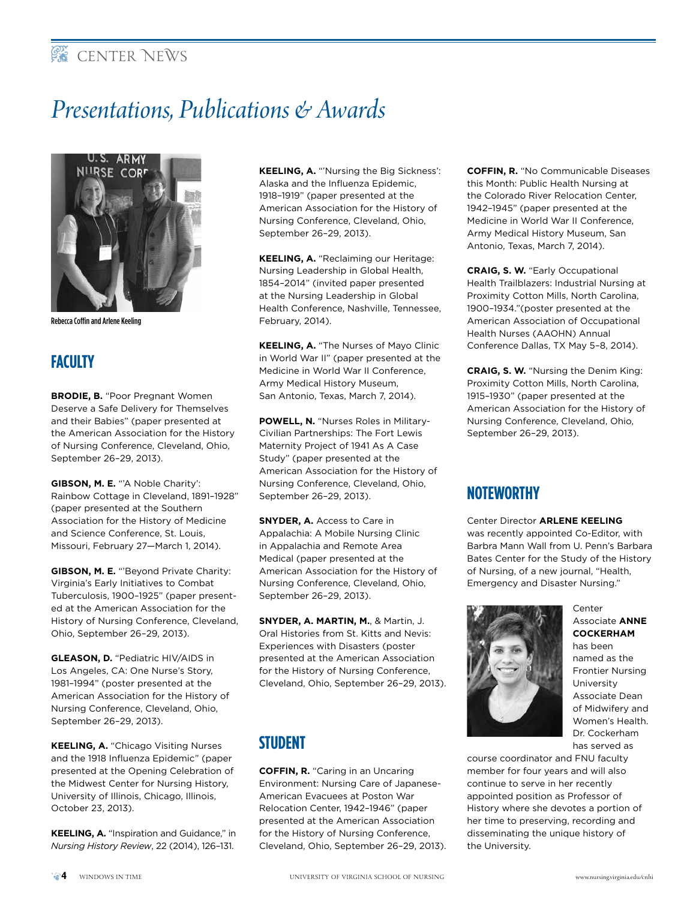# **EXECENTER NEWS**

# *Presentations, Publications & Awards*



Rebecca Coffin and Arlene Keeling

# **FACULTY**

**BRODIE, B.** "Poor Pregnant Women Deserve a Safe Delivery for Themselves and their Babies" (paper presented at the American Association for the History of Nursing Conference, Cleveland, Ohio, September 26–29, 2013).

**GIBSON, M. E.** "'A Noble Charity': Rainbow Cottage in Cleveland, 1891–1928" (paper presented at the Southern Association for the History of Medicine and Science Conference, St. Louis, Missouri, February 27—March 1, 2014).

**GIBSON, M. E.** "'Beyond Private Charity: Virginia's Early Initiatives to Combat Tuberculosis, 1900–1925" (paper presented at the American Association for the History of Nursing Conference, Cleveland, Ohio, September 26–29, 2013).

**GLEASON, D.** "Pediatric HIV/AIDS in Los Angeles, CA: One Nurse's Story, 1981–1994" (poster presented at the American Association for the History of Nursing Conference, Cleveland, Ohio, September 26–29, 2013).

**KEELING, A.** "Chicago Visiting Nurses and the 1918 Influenza Epidemic" (paper presented at the Opening Celebration of the Midwest Center for Nursing History, University of Illinois, Chicago, Illinois, October 23, 2013).

**KEELING, A.** "Inspiration and Guidance," in *Nursing History Review*, 22 (2014), 126–131.

**KEELING, A.** "'Nursing the Big Sickness': Alaska and the Influenza Epidemic, 1918–1919" (paper presented at the American Association for the History of Nursing Conference, Cleveland, Ohio, September 26–29, 2013).

**KEELING, A.** "Reclaiming our Heritage: Nursing Leadership in Global Health, 1854–2014" (invited paper presented at the Nursing Leadership in Global Health Conference, Nashville, Tennessee, February, 2014).

**KEELING, A.** "The Nurses of Mayo Clinic in World War II" (paper presented at the Medicine in World War II Conference, Army Medical History Museum, San Antonio, Texas, March 7, 2014).

**POWELL, N.** "Nurses Roles in Military-Civilian Partnerships: The Fort Lewis Maternity Project of 1941 As A Case Study" (paper presented at the American Association for the History of Nursing Conference, Cleveland, Ohio, September 26–29, 2013).

**SNYDER, A.** Access to Care in Appalachia: A Mobile Nursing Clinic in Appalachia and Remote Area Medical (paper presented at the American Association for the History of Nursing Conference, Cleveland, Ohio, September 26–29, 2013).

**SNYDER, A. MARTIN, M.**, & Martin, J. Oral Histories from St. Kitts and Nevis: Experiences with Disasters (poster presented at the American Association for the History of Nursing Conference, Cleveland, Ohio, September 26–29, 2013).

# **STUDENT**

**COFFIN, R.** "Caring in an Uncaring Environment: Nursing Care of Japanese-American Evacuees at Poston War Relocation Center, 1942–1946" (paper presented at the American Association for the History of Nursing Conference, Cleveland, Ohio, September 26–29, 2013). **COFFIN, R.** "No Communicable Diseases this Month: Public Health Nursing at the Colorado River Relocation Center, 1942–1945" (paper presented at the Medicine in World War II Conference, Army Medical History Museum, San Antonio, Texas, March 7, 2014).

**CRAIG, S. W.** "Early Occupational Health Trailblazers: Industrial Nursing at Proximity Cotton Mills, North Carolina, 1900–1934."(poster presented at the American Association of Occupational Health Nurses (AAOHN) Annual Conference Dallas, TX May 5–8, 2014).

**CRAIG, S. W.** "Nursing the Denim King: Proximity Cotton Mills, North Carolina, 1915–1930" (paper presented at the American Association for the History of Nursing Conference, Cleveland, Ohio, September 26–29, 2013).

# **NOTEWORTHY**

Center Director **ARLENE KEELING** was recently appointed Co-Editor, with Barbra Mann Wall from U. Penn's Barbara Bates Center for the Study of the History of Nursing, of a new journal, "Health, Emergency and Disaster Nursing."



Center Associate **ANNE COCKERHAM**

has been named as the Frontier Nursing University Associate Dean of Midwifery and Women's Health. Dr. Cockerham has served as

course coordinator and FNU faculty member for four years and will also continue to serve in her recently appointed position as Professor of History where she devotes a portion of her time to preserving, recording and disseminating the unique history of the University.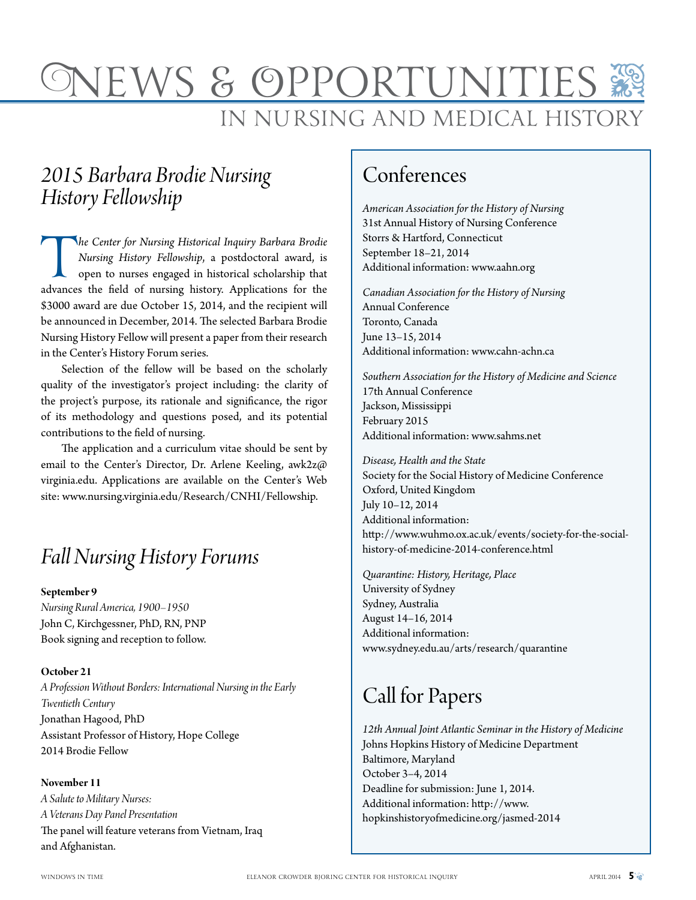# <u>SN</u> IN NURSING AND MEDICAL HISTOR VS & OPPORT

# *2015 Barbara Brodie Nursing History Fellowship*

*The Center for Nursing Historical Inquiry Barbara Brodie Nursing History Fellowship,* a postdoctoral award, is open to nurses engaged in historical scholarship that advances the field of nursing history. Applications for *Nursing History Fellowship*, a postdoctoral award, is open to nurses engaged in historical scholarship that \$3000 award are due October 15, 2014, and the recipient will be announced in December, 2014. The selected Barbara Brodie Nursing History Fellow will present a paper from their research in the Center's History Forum series.

Selection of the fellow will be based on the scholarly quality of the investigator's project including: the clarity of the project's purpose, its rationale and significance, the rigor of its methodology and questions posed, and its potential contributions to the field of nursing.

The application and a curriculum vitae should be sent by email to the Center's Director, Dr. Arlene Keeling, [awk2z@](mailto:awk2z@virginia.edu) [virginia.edu](mailto:awk2z@virginia.edu). Applications are available on the Center's Web site: [www.nursing.virginia.edu/Research/CNHI/Fellowship.](www.nursing.virginia.edu/Research/CNHI/Fellowship)

# *Fall Nursing History Forums*

#### **September 9**

*Nursing Rural America, 1900–1950* John C, Kirchgessner, PhD, RN, PNP Book signing and reception to follow.

#### **October 21**

*A Profession Without Borders: International Nursing in the Early Twentieth Century* Jonathan Hagood, PhD Assistant Professor of History, Hope College 2014 Brodie Fellow

**November 11** *A Salute to Military Nurses: A Veterans Day Panel Presentation*  The panel will feature veterans from Vietnam, Iraq and Afghanistan.

# Conferences

*American Association for the History of Nursing*  31st Annual History of Nursing Conference Storrs & Hartford, Connecticut September 18–21, 2014 Additional information: <www.aahn.org>

*Canadian Association for the History of Nursing* Annual Conference Toronto, Canada June 13–15, 2014 Additional information: <www.cahn-achn.ca>

*Southern Association for the History of Medicine and Science* 17th Annual Conference Jackson, Mississippi February 2015 Additional information: <www.sahms.net>

*Disease, Health and the State*  Society for the Social History of Medicine Conference Oxford, United Kingdom July 10–12, 2014 Additional information: [http://www.wuhmo.ox.ac.uk/events/society-for-the-social](http://www.wuhmo.ox.ac.uk/events/society-for-the-social-history-of-medicine-2014-conference.html)[history-of-medicine-2014-conference.html](http://www.wuhmo.ox.ac.uk/events/society-for-the-social-history-of-medicine-2014-conference.html)

*Quarantine: History, Heritage, Place* University of Sydney Sydney, Australia August 14–16, 2014 Additional information: [www.sydney.edu.au/arts/research/quarantine](http://www.sydney.edu.au/arts/research/quarantine)

# Call for Papers

*12th Annual Joint Atlantic Seminar in the History of Medicine* Johns Hopkins History of Medicine Department Baltimore, Maryland October 3–4, 2014 Deadline for submission: June 1, 2014. Additional information: [http://www.](http://www.hopkinshistoryofmedicine.org/content/jasmed-2014) [hopkinshistoryofmedicine.org/jasmed-2014](http://www.hopkinshistoryofmedicine.org/content/jasmed-2014)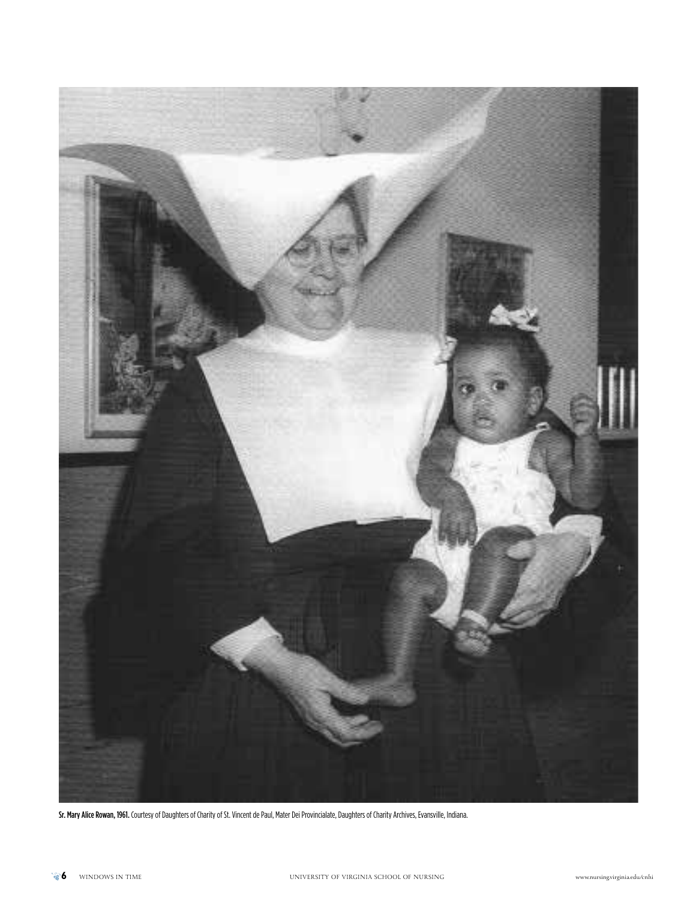

Sr. Mary Alice Rowan, 1961. Courtesy of Daughters of Charity of St. Vincent de Paul, Mater Dei Provincialate, Daughters of Charity Archives, Evansville, Indiana.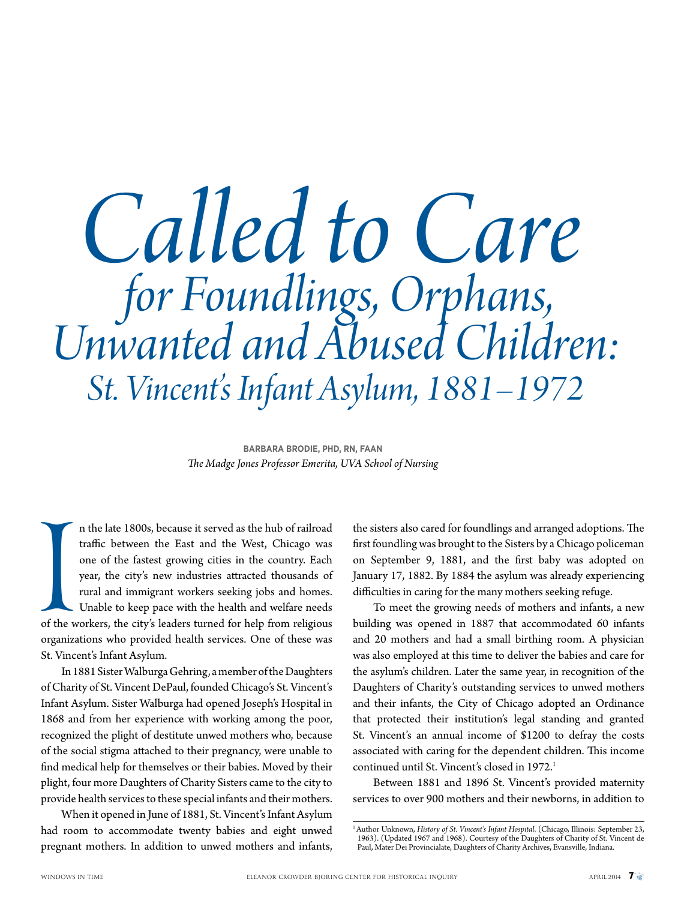# *Called to Care for Foundlings, Orphans, Unwanted and Abused Children: St. Vincent's Infant Asylum, 1881–1972*

**BARBARA BRODIE, PHD, RN, FAAN**  *The Madge Jones Professor Emerita, UVA School of Nursing*

of the w<br>organiza n the late 1800s, because it served as the hub of railroad traffic between the East and the West, Chicago was one of the fastest growing cities in the country. Each year, the city's new industries attracted thousands of rural and immigrant workers seeking jobs and homes. Unable to keep pace with the health and welfare needs of the workers, the city's leaders turned for help from religious organizations who provided health services. One of these was St. Vincent's Infant Asylum.

In 1881 Sister Walburga Gehring, a member of the Daughters of Charity of St. Vincent DePaul, founded Chicago's St. Vincent's Infant Asylum. Sister Walburga had opened Joseph's Hospital in 1868 and from her experience with working among the poor, recognized the plight of destitute unwed mothers who, because of the social stigma attached to their pregnancy, were unable to find medical help for themselves or their babies. Moved by their plight, four more Daughters of Charity Sisters came to the city to provide health services to these special infants and their mothers.

When it opened in June of 1881, St. Vincent's Infant Asylum had room to accommodate twenty babies and eight unwed pregnant mothers. In addition to unwed mothers and infants,

the sisters also cared for foundlings and arranged adoptions. The first foundling was brought to the Sisters by a Chicago policeman on September 9, 1881, and the first baby was adopted on January 17, 1882. By 1884 the asylum was already experiencing difficulties in caring for the many mothers seeking refuge.

To meet the growing needs of mothers and infants, a new building was opened in 1887 that accommodated 60 infants and 20 mothers and had a small birthing room. A physician was also employed at this time to deliver the babies and care for the asylum's children. Later the same year, in recognition of the Daughters of Charity's outstanding services to unwed mothers and their infants, the City of Chicago adopted an Ordinance that protected their institution's legal standing and granted St. Vincent's an annual income of \$1200 to defray the costs associated with caring for the dependent children. This income continued until St. Vincent's closed in 1972.<sup>1</sup>

Between 1881 and 1896 St. Vincent's provided maternity services to over 900 mothers and their newborns, in addition to

<sup>&</sup>lt;sup>1</sup> Author Unknown, *History of St. Vincent's Infant Hospital*. (Chicago, Illinois: September 23, 1963). (Updated 1967 and 1968). Courtesy of the Daughters of Charity of St. Vincent de Paul, Mater Dei Provincialate, Daughters of Charity Archives, Evansville, Indiana.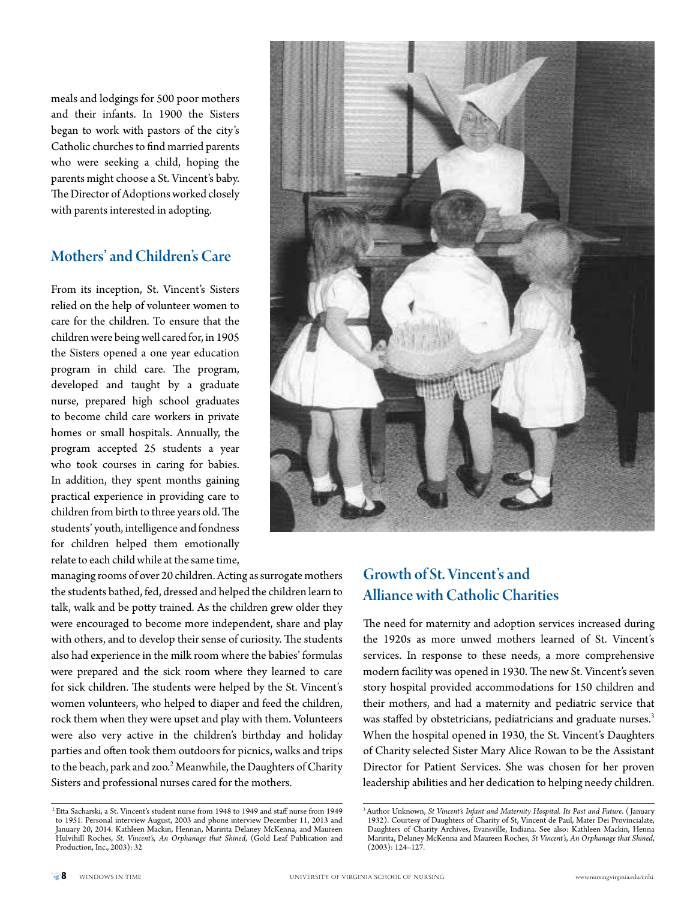meals and lodgings for 500 poor mothers and their infants. In 1900 the Sisters began to work with pastors of the city's Catholic churches to find married parents who were seeking a child, hoping the parents might choose a St. Vincent's baby. The Director of Adoptions worked closely with parents interested in adopting.

## Mothers' and Children's Care

From its inception, St. Vincent's Sisters relied on the help of volunteer women to care for the children. To ensure that the children were being well cared for, in 1905 the Sisters opened a one year education program in child care. The program, developed and taught by a graduate nurse, prepared high school graduates to become child care workers in private homes or small hospitals. Annually, the program accepted 25 students a year who took courses in caring for babies. In addition, they spent months gaining practical experience in providing care to children from birth to three years old. The students' youth, intelligence and fondness for children helped them emotionally relate to each child while at the same time,

managing rooms of over 20 children. Acting as surrogate mothers the students bathed, fed, dressed and helped the children learn to talk, walk and be potty trained. As the children grew older they were encouraged to become more independent, share and play with others, and to develop their sense of curiosity. The students also had experience in the milk room where the babies' formulas were prepared and the sick room where they learned to care for sick children. The students were helped by the St. Vincent's women volunteers, who helped to diaper and feed the children, rock them when they were upset and play with them. Volunteers were also very active in the children's birthday and holiday parties and often took them outdoors for picnics, walks and trips to the beach, park and zoo.<sup>2</sup> Meanwhile, the Daughters of Charity Sisters and professional nurses cared for the mothers.



# Growth of St. Vincent's and Alliance with Catholic Charities

The need for maternity and adoption services increased during the 1920s as more unwed mothers learned of St. Vincent's services. In response to these needs, a more comprehensive modern facility was opened in 1930. The new St. Vincent's seven story hospital provided accommodations for 150 children and their mothers, and had a maternity and pediatric service that was staffed by obstetricians, pediatricians and graduate nurses.<sup>3</sup> When the hospital opened in 1930, the St. Vincent's Daughters of Charity selected Sister Mary Alice Rowan to be the Assistant Director for Patient Services. She was chosen for her proven leadership abilities and her dedication to helping needy children.

 <sup>2</sup> Etta Sacharski, a St. Vincent's student nurse from 1948 to 1949 and staff nurse from 1949 to 1951. Personal interview August, 2003 and phone interview December 11, 2013 and January 20, 2014. Kathleen Mackin, Hennan, Maririta Delaney McKenna, and Maureen Hulvihill Roches, *St. Vincent's, An Orphanage that Shined*, (Gold Leaf Publication and Production, Inc., 2003): 32

<sup>3</sup> Author Unknown, *St Vincent's Infant and Maternity Hospital. Its Past and Future*. ( January 1932). Courtesy of Daughters of Charity of St, Vincent de Paul, Mater Dei Provincialate, Daughters of Charity Archives, Evansville, Indiana. See also: Kathleen Mackin, Henna Maririta, Delaney McKenna and Maureen Roches, *St Vincent's, An Orphanage that Shined*, (2003): 124–127.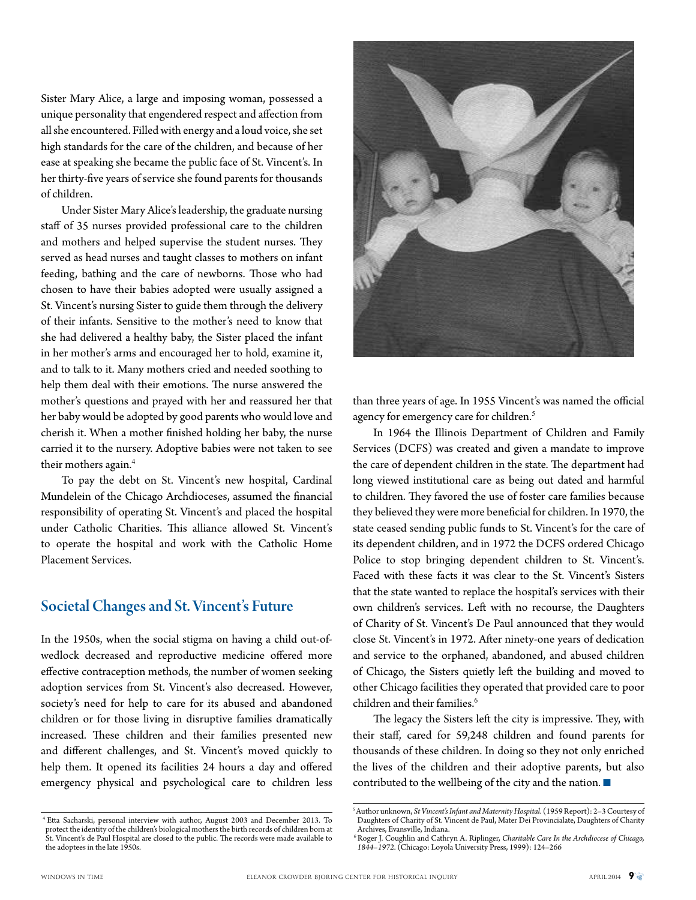Sister Mary Alice, a large and imposing woman, possessed a unique personality that engendered respect and affection from all she encountered. Filled with energy and a loud voice, she set high standards for the care of the children, and because of her ease at speaking she became the public face of St. Vincent's. In her thirty-five years of service she found parents for thousands of children.

Under Sister Mary Alice's leadership, the graduate nursing staff of 35 nurses provided professional care to the children and mothers and helped supervise the student nurses. They served as head nurses and taught classes to mothers on infant feeding, bathing and the care of newborns. Those who had chosen to have their babies adopted were usually assigned a St. Vincent's nursing Sister to guide them through the delivery of their infants. Sensitive to the mother's need to know that she had delivered a healthy baby, the Sister placed the infant in her mother's arms and encouraged her to hold, examine it, and to talk to it. Many mothers cried and needed soothing to help them deal with their emotions. The nurse answered the mother's questions and prayed with her and reassured her that her baby would be adopted by good parents who would love and cherish it. When a mother finished holding her baby, the nurse carried it to the nursery. Adoptive babies were not taken to see their mothers again.<sup>4</sup>

To pay the debt on St. Vincent's new hospital, Cardinal Mundelein of the Chicago Archdioceses, assumed the financial responsibility of operating St. Vincent's and placed the hospital under Catholic Charities. This alliance allowed St. Vincent's to operate the hospital and work with the Catholic Home Placement Services.

## Societal Changes and St. Vincent's Future

In the 1950s, when the social stigma on having a child out-ofwedlock decreased and reproductive medicine offered more effective contraception methods, the number of women seeking adoption services from St. Vincent's also decreased. However, society's need for help to care for its abused and abandoned children or for those living in disruptive families dramatically increased. These children and their families presented new and different challenges, and St. Vincent's moved quickly to help them. It opened its facilities 24 hours a day and offered emergency physical and psychological care to children less



than three years of age. In 1955 Vincent's was named the official agency for emergency care for children.<sup>5</sup>

In 1964 the Illinois Department of Children and Family Services (DCFS) was created and given a mandate to improve the care of dependent children in the state. The department had long viewed institutional care as being out dated and harmful to children. They favored the use of foster care families because they believed they were more beneficial for children. In 1970, the state ceased sending public funds to St. Vincent's for the care of its dependent children, and in 1972 the DCFS ordered Chicago Police to stop bringing dependent children to St. Vincent's. Faced with these facts it was clear to the St. Vincent's Sisters that the state wanted to replace the hospital's services with their own children's services. Left with no recourse, the Daughters of Charity of St. Vincent's De Paul announced that they would close St. Vincent's in 1972. After ninety-one years of dedication and service to the orphaned, abandoned, and abused children of Chicago, the Sisters quietly left the building and moved to other Chicago facilities they operated that provided care to poor children and their families.<sup>6</sup>

The legacy the Sisters left the city is impressive. They, with their staff, cared for 59,248 children and found parents for thousands of these children. In doing so they not only enriched the lives of the children and their adoptive parents, but also contributed to the wellbeing of the city and the nation.  $\blacksquare$ 

 <sup>4</sup> Etta Sacharski, personal interview with author, August 2003 and December 2013. To protect the identity of the children's biological mothers the birth records of children born at St. Vincent's de Paul Hospital are closed to the public. The records were made available to the adoptees in the late 1950s.

<sup>5</sup> Author unknown, *St Vincent's Infant and Maternity Hospital*. (1959 Report): 2–3 Courtesy of Daughters of Charity of St. Vincent de Paul, Mater Dei Provincialate, Daughters of Charity Archives, Evansville, Indiana.

 <sup>6</sup> Roger J. Coughlin and Cathryn A. Riplinger, *Charitable Care In the Archdiocese of Chicago, 1844–1972*. (Chicago: Loyola University Press, 1999): 124–266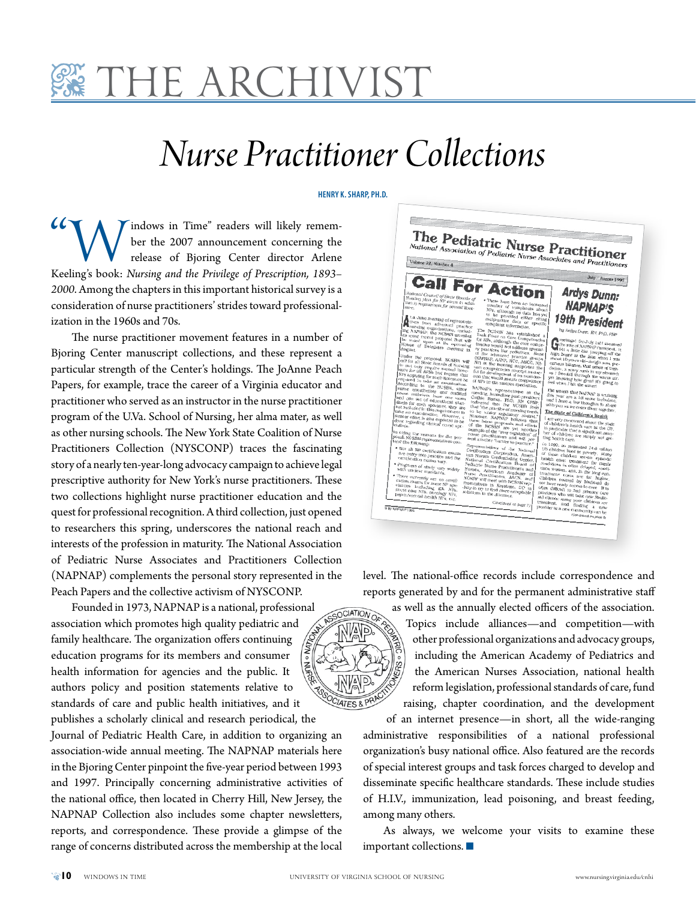

# *Nurse Practitioner Collections*

#### **HENRY K. SHARP, PH.D.**

"Windows in Time" readers will likely remem-Keeling's book: *Nursing and the Privilege of Prescription, 1893–* ber the 2007 announcement concerning the release of Bjoring Center director Arlene *2000*. Among the chapters in this important historical survey is a consideration of nurse practitioners' strides toward professionalization in the 1960s and 70s.

The nurse practitioner movement features in a number of Bjoring Center manuscript collections, and these represent a particular strength of the Center's holdings. The JoAnne Peach Papers, for example, trace the career of a Virginia educator and practitioner who served as an instructor in the nurse practitioner program of the U.Va. School of Nursing, her alma mater, as well as other nursing schools. The New York State Coalition of Nurse Practitioners Collection (NYSCONP) traces the fascinating story of a nearly ten-year-long advocacy campaign to achieve legal prescriptive authority for New York's nurse practitioners. These two collections highlight nurse practitioner education and the quest for professional recognition. A third collection, just opened to researchers this spring, underscores the national reach and interests of the profession in maturity. The National Association of Pediatric Nurse Associates and Practitioners Collection (NAPNAP) complements the personal story represented in the Peach Papers and the collective activism of NYSCONP.

Founded in 1973, NAPNAP is a national, professional association which promotes high quality pediatric and family healthcare. The organization offers continuing education programs for its members and consumer health information for agencies and the public. It authors policy and position statements relative to standards of care and public health initiatives, and it

publishes a scholarly clinical and research periodical, the Journal of Pediatric Health Care, in addition to organizing an association-wide annual meeting. The NAPNAP materials here in the Bjoring Center pinpoint the five-year period between 1993 and 1997. Principally concerning administrative activities of the national office, then located in Cherry Hill, New Jersey, the NAPNAP Collection also includes some chapter newsletters, reports, and correspondence. These provide a glimpse of the range of concerns distributed across the membership at the local



level. The national-office records include correspondence and reports generated by and for the permanent administrative staff



as well as the annually elected officers of the association. Topics include alliances—and competition—with other professional organizations and advocacy groups, including the American Academy of Pediatrics and the American Nurses Association, national health reform legislation, professional standards of care, fund raising, chapter coordination, and the development

of an internet presence—in short, all the wide-ranging administrative responsibilities of a national professional organization's busy national office. Also featured are the records of special interest groups and task forces charged to develop and disseminate specific healthcare standards. These include studies of H.I.V., immunization, lead poisoning, and breast feeding, among many others.

As always, we welcome your visits to examine these important collections.  $\blacksquare$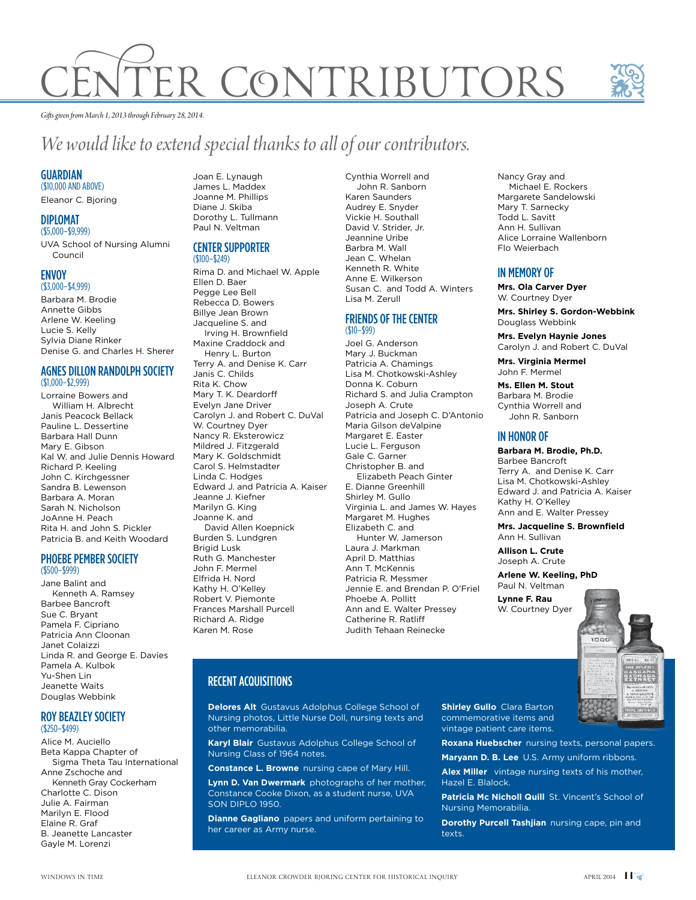# R CONTRIBUTORS



*Gifts given from March 1, 2013 through February 28, 2014.*

# *We would like to extend special thanks to all of our contributors.*

### **GUARDIAN**

(\$10,000 AND ABOVE) Eleanor C. Bjoring

#### DIPLOMAT

(\$5,000–\$9,999)

UVA School of Nursing Alumni Council

#### **ENVOY** (\$3,000–\$4,999)

Barbara M. Brodie Annette Gibbs Arlene W. Keeling Lucie S. Kelly Sylvia Diane Rinker

### Denise G. and Charles H. Sherer AGNES DILLON RANDOLPH SOCIETY (\$1,000–\$2,999)

Lorraine Bowers and William H. Albrecht Janis Peacock Bellack Pauline L. Dessertine Barbara Hall Dunn Mary E. Gibson Kal W. and Julie Dennis Howard Richard P. Keeling John C. Kirchgessner Sandra B. Lewenson Barbara A. Moran Sarah N. Nicholson JoAnne H. Peach Rita H. and John S. Pickler Patricia B. and Keith Woodard

#### PHOEBE PEMBER SOCIETY (\$500–\$999)

Jane Balint and Kenneth A. Ramsey Barbee Bancroft Sue C. Bryant Pamela F. Cipriano Patricia Ann Cloonan Janet Colaizzi Linda R. and George E. Davies Pamela A. Kulbok Yu-Shen Lin Jeanette Waits Douglas Webbink

#### ROY BEAZLEY SOCIETY (\$250–\$499)

Alice M. Auciello Beta Kappa Chapter of Sigma Theta Tau International Anne Zschoche and Kenneth Gray Cockerham Charlotte C. Dison Julie A. Fairman Marilyn E. Flood Elaine R. Graf B. Jeanette Lancaster Gayle M. Lorenzi

Joan E. Lynaugh James L. Maddex Joanne M. Phillips Diane J. Skiba Dorothy L. Tullmann Paul N. Veltman

## CENTER SUPPORTER

(\$100–\$249) Rima D. and Michael W. Apple Ellen D. Baer Pegge Lee Bell Rebecca D. Bowers Billye Jean Brown Jacqueline S. and Irving H. Brownfield Maxine Craddock and Henry L. Burton Terry A. and Denise K. Carr Janis C. Childs Rita K. Chow Mary T. K. Deardorff Evelyn Jane Driver Carolyn J. and Robert C. DuVal W. Courtney Dyer Nancy R. Eksterowicz Mildred J. Fitzgerald Mary K. Goldschmidt Carol S. Helmstadter Linda C. Hodges Edward J. and Patricia A. Kaiser Jeanne J. Kiefner Marilyn G. King Joanne K. and David Allen Koepnick Burden S. Lundgren Brigid Lusk Ruth G. Manchester John F. Mermel Elfrida H. Nord Kathy H. O'Kelley Robert V. Piemonte Frances Marshall Purcell Richard A. Ridge Karen M. Rose

Cynthia Worrell and John R. Sanborn Karen Saunders Audrey E. Snyder Vickie H. Southall David V. Strider, Jr. Jeannine Uribe Barbra M. Wall Jean C. Whelan Kenneth R. White Anne E. Wilkerson Susan C. and Todd A. Winters Lisa M. Zerull

#### FRIENDS OF THE CENTER (\$10–\$99)

Joel G. Anderson Mary J. Buckman Patricia A. Chamings Lisa M. Chotkowski-Ashley Donna K. Coburn Richard S. and Julia Crampton Joseph A. Crute Patricia and Joseph C. D'Antonio Maria Gilson deValpine Margaret E. Easter Lucie L. Ferguson Gale C. Garner Christopher B. and Elizabeth Peach Ginter E. Dianne Greenhill Shirley M. Gullo Virginia L. and James W. Hayes Margaret M. Hughes Elizabeth C. and Hunter W. Jamerson Laura J. Markman April D. Matthias Ann T. McKennis Patricia R. Messmer Jennie E. and Brendan P. O'Friel Phoebe A. Pollitt Ann and E. Walter Pressey Catherine R. Ratliff Judith Tehaan Reinecke

#### Nancy Gray and Michael E. Rockers Margarete Sandelowski Mary T. Sarnecky Todd L. Savitt Ann H. Sullivan Alice Lorraine Wallenborn Flo Weierbach

## IN MEMORY OF

**Mrs. Ola Carver Dyer** W. Courtney Dyer

**Mrs. Shirley S. Gordon-Webbink** Douglass Webbink

**Mrs. Evelyn Haynie Jones** Carolyn J. and Robert C. DuVal

**Mrs. Virginia Mermel** John F. Mermel

**Ms. Ellen M. Stout** Barbara M. Brodie Cynthia Worrell and John R. Sanborn

### IN HONOR OF

#### **Barbara M. Brodie, Ph.D.**

Barbee Bancroft Terry A. and Denise K. Carr Lisa M. Chotkowski-Ashley Edward J. and Patricia A. Kaiser Kathy H. O'Kelley Ann and E. Walter Pressey

**Mrs. Jacqueline S. Brownfield** Ann H. Sullivan

**Allison L. Crute** Joseph A. Crute

**Arlene W. Keeling, PhD**

Paul N. Veltman **Lynne F. Rau** W. Courtney Dyer

idat

## RECENT ACQUISITIONS

**Delores Alt** Gustavus Adolphus College School of Nursing photos, Little Nurse Doll, nursing texts and other memorabilia.

**Karyl Blair** Gustavus Adolphus College School of Nursing Class of 1964 notes.

**Constance L. Browne** nursing cape of Mary Hill.

**Lynn D. Van Dwermark** photographs of her mother, Constance Cooke Dixon, as a student nurse, UVA SON DIPLO 1950.

**Dianne Gagliano** papers and uniform pertaining to her career as Army nurse.

**Shirley Gullo** Clara Barton commemorative items and vintage patient care items.

**Roxana Huebscher** nursing texts, personal papers.

**Maryann D. B. Lee** U.S. Army uniform ribbons.

**Alex Miller** vintage nursing texts of his mother, Hazel E. Blalock.

Patricia Mc Nicholl Quill St. Vincent's School of Nursing Memorabilia.

**Dorothy Purcell Tashjian** nursing cape, pin and texts.